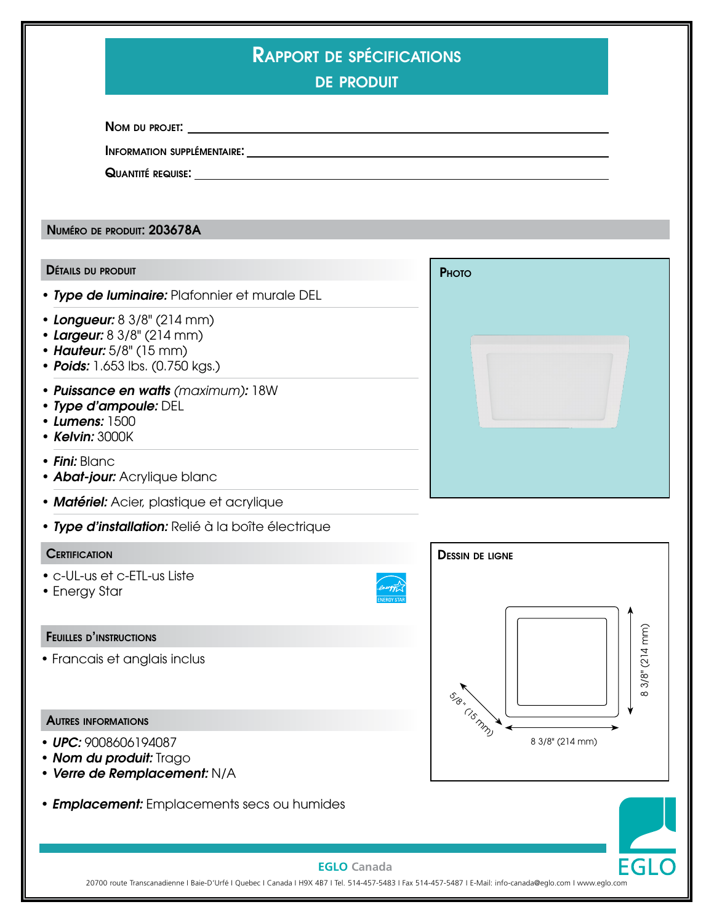| <b>RAPPORT DE SPÉCIFICATIONS</b><br><b>DE PRODUIT</b>                                                                    |                                |                 |
|--------------------------------------------------------------------------------------------------------------------------|--------------------------------|-----------------|
|                                                                                                                          |                                |                 |
|                                                                                                                          |                                |                 |
|                                                                                                                          |                                |                 |
| NUMÉRO DE PRODUIT: 203678A                                                                                               |                                |                 |
| <b>DÉTAILS DU PRODUIT</b>                                                                                                | PHOTO                          |                 |
| • Type de luminaire: Plafonnier et murale DEL                                                                            |                                |                 |
| • Longueur: 8 3/8" (214 mm)<br>• Largeur: 8 3/8" (214 mm)<br>• Hauteur: 5/8" (15 mm)<br>• Poids: 1.653 lbs. (0.750 kgs.) |                                |                 |
| • Puissance en watts (maximum): 18W<br>• Type d'ampoule: DEL<br>• Lumens: 1500<br>• Kelvin: 3000K                        |                                |                 |
| • Fini: Blanc<br>• Abat-jour: Acrylique blanc                                                                            |                                |                 |
| • Matériel: Acier, plastique et acrylique                                                                                |                                |                 |
| · Type d'installation: Relié à la boîte électrique                                                                       |                                |                 |
| <b>CERTIFICATION</b>                                                                                                     | <b>DESSIN DE LIGNE</b>         |                 |
| • c-UL-us et c-ETL-us Liste<br>• Energy Star                                                                             |                                |                 |
| <b>FEUILLES D'INSTRUCTIONS</b>                                                                                           |                                |                 |
| • Francais et anglais inclus                                                                                             | $\mathcal{S}_{\hat{\sigma}^*}$ | $3/8" (214$ mm) |
| <b>AUTRES INFORMATIONS</b>                                                                                               | CISMAD                         |                 |
| • UPC: 9008606194087<br>• Nom du produit: Trago<br>• Verre de Remplacement: N/A                                          | 8 3/8" (214 mm)                |                 |
| • <b>Emplacement:</b> Emplacements secs ou humides                                                                       |                                |                 |
| <b>EGLO</b> Canada                                                                                                       |                                | <b>EGLO</b>     |